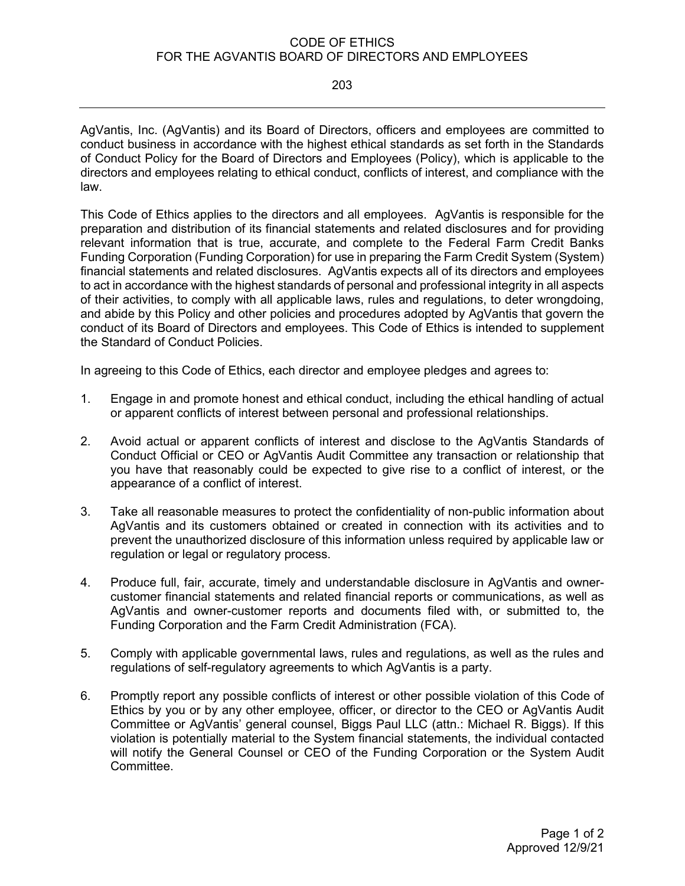## CODE OF ETHICS FOR THE AGVANTIS BOARD OF DIRECTORS AND EMPLOYEES

203

AgVantis, Inc. (AgVantis) and its Board of Directors, officers and employees are committed to conduct business in accordance with the highest ethical standards as set forth in the Standards of Conduct Policy for the Board of Directors and Employees (Policy), which is applicable to the directors and employees relating to ethical conduct, conflicts of interest, and compliance with the law.

This Code of Ethics applies to the directors and all employees. AgVantis is responsible for the preparation and distribution of its financial statements and related disclosures and for providing relevant information that is true, accurate, and complete to the Federal Farm Credit Banks Funding Corporation (Funding Corporation) for use in preparing the Farm Credit System (System) financial statements and related disclosures. AgVantis expects all of its directors and employees to act in accordance with the highest standards of personal and professional integrity in all aspects of their activities, to comply with all applicable laws, rules and regulations, to deter wrongdoing, and abide by this Policy and other policies and procedures adopted by AgVantis that govern the conduct of its Board of Directors and employees. This Code of Ethics is intended to supplement the Standard of Conduct Policies.

In agreeing to this Code of Ethics, each director and employee pledges and agrees to:

- 1. Engage in and promote honest and ethical conduct, including the ethical handling of actual or apparent conflicts of interest between personal and professional relationships.
- 2. Avoid actual or apparent conflicts of interest and disclose to the AgVantis Standards of Conduct Official or CEO or AgVantis Audit Committee any transaction or relationship that you have that reasonably could be expected to give rise to a conflict of interest, or the appearance of a conflict of interest.
- 3. Take all reasonable measures to protect the confidentiality of non-public information about AgVantis and its customers obtained or created in connection with its activities and to prevent the unauthorized disclosure of this information unless required by applicable law or regulation or legal or regulatory process.
- 4. Produce full, fair, accurate, timely and understandable disclosure in AgVantis and ownercustomer financial statements and related financial reports or communications, as well as AgVantis and owner-customer reports and documents filed with, or submitted to, the Funding Corporation and the Farm Credit Administration (FCA).
- 5. Comply with applicable governmental laws, rules and regulations, as well as the rules and regulations of self-regulatory agreements to which AgVantis is a party.
- 6. Promptly report any possible conflicts of interest or other possible violation of this Code of Ethics by you or by any other employee, officer, or director to the CEO or AgVantis Audit Committee or AgVantis' general counsel, Biggs Paul LLC (attn.: Michael R. Biggs). If this violation is potentially material to the System financial statements, the individual contacted will notify the General Counsel or CEO of the Funding Corporation or the System Audit Committee.